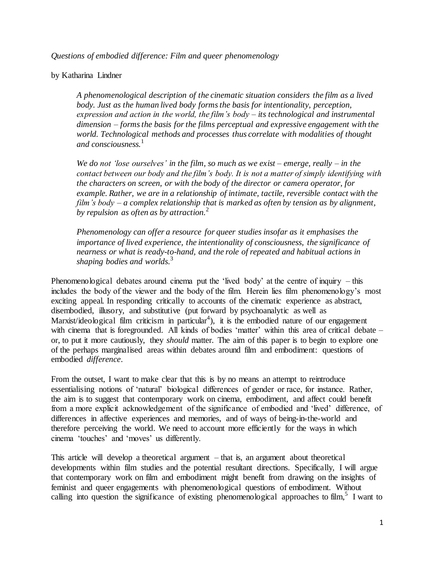*Questions of embodied difference: Film and queer phenomenology*

## by Katharina Lindner

*A phenomenological description of the cinematic situation considers the film as a lived body. Just as the human lived body forms the basis for intentionality, perception, expression and action in the world, the film's body – its technological and instrumental dimension – forms the basis for the films perceptual and expressive engagement with the world. Technological methods and processes thus correlate with modalities of thought and consciousness.*<sup>1</sup>

*We do not 'lose ourselves' in the film, so much as we exist – emerge, really – in the contact between our body and the film's body. It is not a matter of simply identifying with the characters on screen, or with the body of the director or camera operator, for example. Rather, we are in a relationship of intimate, tactile, reversible contact with the film's body – a complex relationship that is marked as often by tension as by alignment, by repulsion as often as by attraction.*<sup>2</sup>

*Phenomenology can offer a resource for queer studies insofar as it emphasises the importance of lived experience, the intentionality of consciousness, the significance of nearness or what is ready-to-hand, and the role of repeated and habitual actions in shaping bodies and worlds.* 3

Phenomenological debates around cinema put the 'lived body' at the centre of inquiry – this includes the body of the viewer and the body of the film. Herein lies film phenomenology's most exciting appeal. In responding critically to accounts of the cinematic experience as abstract, disembodied, illusory, and substitutive (put forward by psychoanalytic as well as Marxist/ideological film criticism in particular<sup>4</sup>), it is the embodied nature of our engagement with cinema that is foregrounded. All kinds of bodies 'matter' within this area of critical debate – or, to put it more cautiously, they *should* matter. The aim of this paper is to begin to explore one of the perhaps marginalised areas within debates around film and embodiment: questions of embodied *difference*.

From the outset, I want to make clear that this is by no means an attempt to reintroduce essentialising notions of 'natural' biological differences of gender or race, for instance. Rather, the aim is to suggest that contemporary work on cinema, embodiment, and affect could benefit from a more explicit acknowledgement of the significance of embodied and 'lived' difference, of differences in affective experiences and memories, and of ways of being-in-the-world and therefore perceiving the world. We need to account more efficiently for the ways in which cinema 'touches' and 'moves' us differently.

This article will develop a theoretical argument – that is, an argument about theoretical developments within film studies and the potential resultant directions. Specifically, I will argue that contemporary work on film and embodiment might benefit from drawing on the insights of feminist and queer engagements with phenomenological questions of embodiment. Without calling into question the significance of existing phenomenological approaches to film,<sup>5</sup> I want to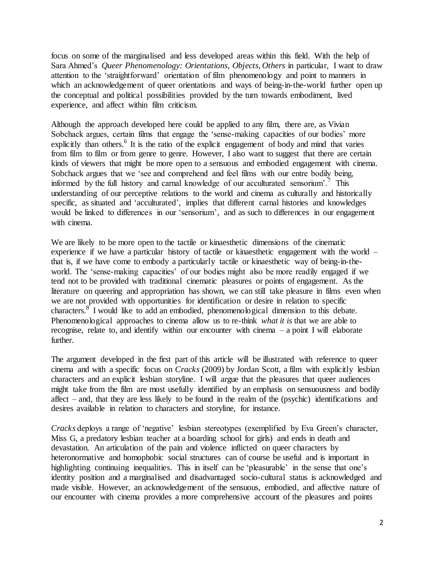focus on some of the marginalised and less developed areas within this field. With the help of Sara Ahmed's *Queer Phenomenology: Orientations, Objects, Others* in particular, I want to draw attention to the 'straightforward' orientation of film phenomenology and point to manners in which an acknowledgement of queer orientations and ways of being-in-the-world further open up the conceptual and political possibilities provided by the turn towards embodiment, lived experience, and affect within film criticism.

Although the approach developed here could be applied to any film, there are, as Vivian Sobchack argues, certain films that engage the 'sense-making capacities of our bodies' more explicitly than others.<sup>6</sup> It is the ratio of the explicit engagement of body and mind that varies from film to film or from genre to genre. However, I also want to suggest that there are certain kinds of viewers that might be more open to a sensuous and embodied engagement with cinema. Sobchack argues that we 'see and comprehend and feel films with our entre bodily being, informed by the full history and carnal knowledge of our acculturated sensorium'.<sup>7</sup> This understanding of our perceptive relations to the world and cinema as culturally and historically specific, as situated and 'acculturated', implies that different carnal histories and knowledges would be linked to differences in our 'sensorium', and as such to differences in our engagement with cinema.

We are likely to be more open to the tactile or kinaesthetic dimensions of the cinematic experience if we have a particular history of tactile or kinaesthetic engagement with the world – that is, if we have come to embody a particularly tactile or kinaesthetic way of being-in-theworld. The 'sense-making capacities' of our bodies might also be more readily engaged if we tend not to be provided with traditional cinematic pleasures or points of engagement. As the literature on queering and appropriation has shown, we can still take pleasure in films even when we are not provided with opportunities for identification or desire in relation to specific characters. $8^{\circ}$  I would like to add an embodied, phenomenological dimension to this debate. Phenomenological approaches to cinema allow us to re-think *what it is* that we are able to recognise, relate to, and identify within our encounter with cinema – a point I will elaborate further.

The argument developed in the first part of this article will be illustrated with reference to queer cinema and with a specific focus on *Cracks* (2009) by Jordan Scott, a film with explicitly lesbian characters and an explicit lesbian storyline. I will argue that the pleasures that queer audiences might take from the film are most usefully identified by an emphasis on sensuousness and bodily affect – and, that they are less likely to be found in the realm of the (psychic) identifications and desires available in relation to characters and storyline, for instance.

*Cracks* deploys a range of 'negative' lesbian stereotypes (exemplified by Eva Green's character, Miss G, a predatory lesbian teacher at a boarding school for girls) and ends in death and devastation. An articulation of the pain and violence inflicted on queer characters by heteronormative and homophobic social structures can of course be useful and is important in highlighting continuing inequalities. This in itself can be 'pleasurable' in the sense that one's identity position and a marginalised and disadvantaged socio-cultural status is acknowledged and made visible. However, an acknowledgement of the sensuous, embodied, and affective nature of our encounter with cinema provides a more comprehensive account of the pleasures and points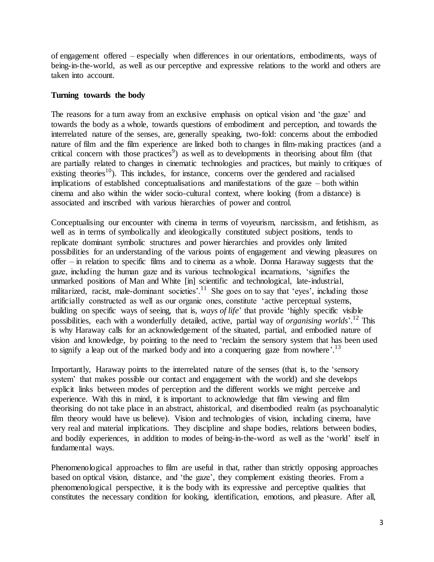of engagement offered – especially when differences in our orientations, embodiments, ways of being-in-the-world, as well as our perceptive and expressive relations to the world and others are taken into account.

## **Turning towards the body**

The reasons for a turn away from an exclusive emphasis on optical vision and 'the gaze' and towards the body as a whole, towards questions of embodiment and perception, and towards the interrelated nature of the senses, are, generally speaking, two-fold: concerns about the embodied nature of film and the film experience are linked both to changes in film-making practices (and a critical concern with those practices<sup>9</sup>) as well as to developments in theorising about film (that are partially related to changes in cinematic technologies and practices, but mainly to critiques of existing theories<sup>10</sup>). This includes, for instance, concerns over the gendered and racialised implications of established conceptualisations and manifestations of the gaze – both within cinema and also within the wider socio-cultural context, where looking (from a distance) is associated and inscribed with various hierarchies of power and control.

Conceptualising our encounter with cinema in terms of voyeurism, narcissism, and fetishism, as well as in terms of symbolically and ideologically constituted subject positions, tends to replicate dominant symbolic structures and power hierarchies and provides only limited possibilities for an understanding of the various points of engagement and viewing pleasures on offer – in relation to specific films and to cinema as a whole. Donna Haraway suggests that the gaze, including the human gaze and its various technological incarnations, 'signifies the unmarked positions of Man and White [in] scientific and technological, late-industrial, militarized, racist, male-dominant societies'.<sup>11</sup> She goes on to say that 'eyes', including those artificially constructed as well as our organic ones, constitute 'active perceptual systems, building on specific ways of seeing, that is, *ways of life*' that provide 'highly specific visible possibilities, each with a wonderfully detailed, active, partial way of *organising worlds*'. <sup>12</sup> This is why Haraway calls for an acknowledgement of the situated, partial, and embodied nature of vision and knowledge, by pointing to the need to 'reclaim the sensory system that has been used to signify a leap out of the marked body and into a conquering gaze from nowhere'.<sup>13</sup>

Importantly, Haraway points to the interrelated nature of the senses (that is, to the 'sensory system' that makes possible our contact and engagement with the world) and she develops explicit links between modes of perception and the different worlds we might perceive and experience. With this in mind, it is important to acknowledge that film viewing and film theorising do not take place in an abstract, ahistorical, and disembodied realm (as psychoanalytic film theory would have us believe). Vision and technologies of vision, including cinema, have very real and material implications. They discipline and shape bodies, relations between bodies, and bodily experiences, in addition to modes of being-in-the-word as well as the 'world' itself in fundamental ways.

Phenomenological approaches to film are useful in that, rather than strictly opposing approaches based on optical vision, distance, and 'the gaze', they complement existing theories. From a phenomenological perspective, it is the body with its expressive and perceptive qualities that constitutes the necessary condition for looking, identification, emotions, and pleasure. After all,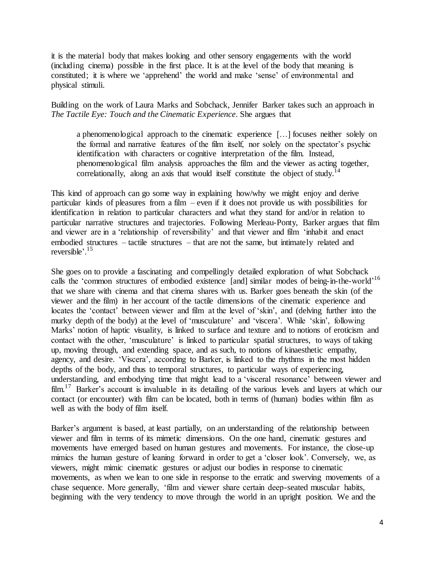it is the material body that makes looking and other sensory engagements with the world (including cinema) possible in the first place. It is at the level of the body that meaning is constituted; it is where we 'apprehend' the world and make 'sense' of environmental and physical stimuli.

Building on the work of Laura Marks and Sobchack, Jennifer Barker takes such an approach in *The Tactile Eye: Touch and the Cinematic Experience*. She argues that

a phenomenological approach to the cinematic experience […] focuses neither solely on the formal and narrative features of the film itself, nor solely on the spectator's psychic identification with characters or cognitive interpretation of the film. Instead, phenomenological film analysis approaches the film and the viewer as acting together, correlationally, along an axis that would itself constitute the object of study.<sup>14</sup>

This kind of approach can go some way in explaining how/why we might enjoy and derive particular kinds of pleasures from a film – even if it does not provide us with possibilities for identification in relation to particular characters and what they stand for and/or in relation to particular narrative structures and trajectories. Following Merleau-Ponty, Barker argues that film and viewer are in a 'relationship of reversibility' and that viewer and film 'inhabit and enact embodied structures – tactile structures – that are not the same, but intimately related and reversible'.<sup>15</sup>

She goes on to provide a fascinating and compellingly detailed exploration of what Sobchack calls the 'common structures of embodied existence [and] similar modes of being-in-the-world'<sup>16</sup> that we share with cinema and that cinema shares with us. Barker goes beneath the skin (of the viewer and the film) in her account of the tactile dimensions of the cinematic experience and locates the 'contact' between viewer and film at the level of 'skin', and (delving further into the murky depth of the body) at the level of 'musculature' and 'viscera'. While 'skin', following Marks' notion of haptic visuality, is linked to surface and texture and to notions of eroticism and contact with the other, 'musculature' is linked to particular spatial structures, to ways of taking up, moving through, and extending space, and as such, to notions of kinaesthetic empathy, agency, and desire. 'Viscera', according to Barker, is linked to the rhythms in the most hidden depths of the body, and thus to temporal structures, to particular ways of experiencing, understanding, and embodying time that might lead to a 'visceral resonance' between viewer and film.<sup>17</sup> Barker's account is invaluable in its detailing of the various levels and layers at which our contact (or encounter) with film can be located, both in terms of (human) bodies within film as well as with the body of film itself.

Barker's argument is based, at least partially, on an understanding of the relationship between viewer and film in terms of its mimetic dimensions. On the one hand, cinematic gestures and movements have emerged based on human gestures and movements. For instance, the close-up mimics the human gesture of leaning forward in order to get a 'closer look'. Conversely, we, as viewers, might mimic cinematic gestures or adjust our bodies in response to cinematic movements, as when we lean to one side in response to the erratic and swerving movements of a chase sequence. More generally, 'film and viewer share certain deep-seated muscular habits, beginning with the very tendency to move through the world in an upright position. We and the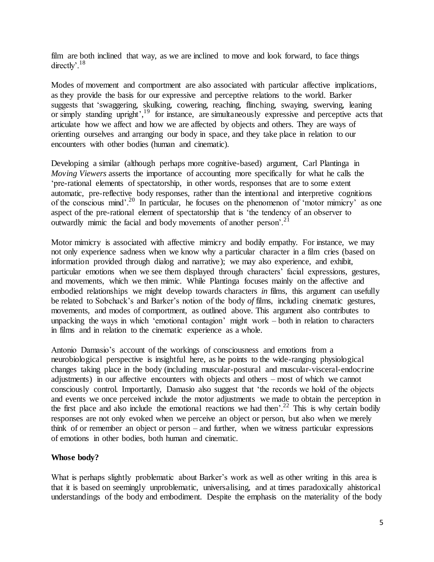film are both inclined that way, as we are inclined to move and look forward, to face things directly'.<sup>18</sup>

Modes of movement and comportment are also associated with particular affective implications, as they provide the basis for our expressive and perceptive relations to the world. Barker suggests that 'swaggering, skulking, cowering, reaching, flinching, swaying, swerving, leaning or simply standing upright',<sup>19</sup> for instance, are simultaneously expressive and perceptive acts that articulate how we affect and how we are affected by objects and others. They are ways of orienting ourselves and arranging our body in space, and they take place in relation to our encounters with other bodies (human and cinematic).

Developing a similar (although perhaps more cognitive-based) argument, Carl Plantinga in *Moving Viewers* asserts the importance of accounting more specifically for what he calls the 'pre-rational elements of spectatorship, in other words, responses that are to some extent automatic, pre-reflective body responses, rather than the intentional and interpretive cognitions of the conscious mind'. <sup>20</sup> In particular, he focuses on the phenomenon of 'motor mimicry' as one aspect of the pre-rational element of spectatorship that is 'the tendency of an observer to outwardly mimic the facial and body movements of another person<sup>'.21</sup>

Motor mimicry is associated with affective mimicry and bodily empathy. For instance, we may not only experience sadness when we know why a particular character in a film cries (based on information provided through dialog and narrative); we may also experience, and exhibit, particular emotions when we see them displayed through characters' facial expressions, gestures, and movements, which we then mimic. While Plantinga focuses mainly on the affective and embodied relationships we might develop towards characters *in* films, this argument can usefully be related to Sobchack's and Barker's notion of the body *of* films, including cinematic gestures, movements, and modes of comportment, as outlined above. This argument also contributes to unpacking the ways in which 'emotional contagion' might work – both in relation to characters in films and in relation to the cinematic experience as a whole.

Antonio Damasio's account of the workings of consciousness and emotions from a neurobiological perspective is insightful here, as he points to the wide-ranging physiological changes taking place in the body (including muscular-postural and muscular-visceral-endocrine adjustments) in our affective encounters with objects and others – most of which we cannot consciously control. Importantly, Damasio also suggest that 'the records we hold of the objects and events we once perceived include the motor adjustments we made to obtain the perception in the first place and also include the emotional reactions we had then'.<sup>22</sup> This is why certain bodily responses are not only evoked when we perceive an object or person, but also when we merely think of or remember an object or person – and further, when we witness particular expressions of emotions in other bodies, both human and cinematic.

#### **Whose body?**

What is perhaps slightly problematic about Barker's work as well as other writing in this area is that it is based on seemingly unproblematic, universalising, and at times paradoxically ahistorical understandings of the body and embodiment. Despite the emphasis on the materiality of the body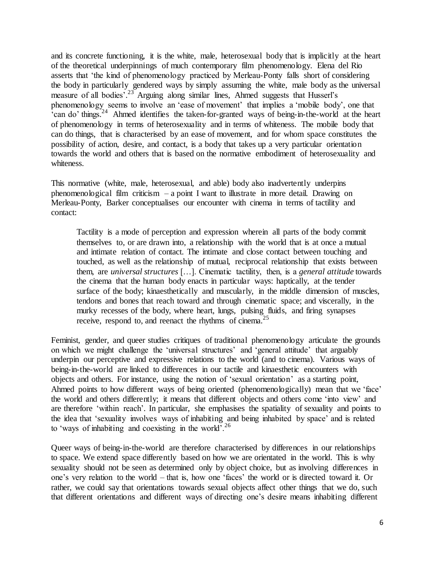and its concrete functioning, it is the white, male, heterosexual body that is implicitly at the heart of the theoretical underpinnings of much contemporary film phenomenology. Elena del Rio asserts that 'the kind of phenomenology practiced by Merleau-Ponty falls short of considering the body in particularly gendered ways by simply assuming the white, male body as the universal measure of all bodies<sup>' 23</sup> Arguing along similar lines, Ahmed suggests that Husserl's phenomenology seems to involve an 'ease of movement' that implies a 'mobile body', one that <sup>2</sup> can do' things.<sup>24</sup> Ahmed identifies the taken-for-granted ways of being-in-the-world at the heart of phenomenology in terms of heterosexuality and in terms of whiteness. The mobile body that can do things, that is characterised by an ease of movement, and for whom space constitutes the possibility of action, desire, and contact, is a body that takes up a very particular orientation towards the world and others that is based on the normative embodiment of heterosexuality and whiteness.

This normative (white, male, heterosexual, and able) body also inadvertently underpins phenomenological film criticism  $-$  a point I want to illustrate in more detail. Drawing on Merleau-Ponty, Barker conceptualises our encounter with cinema in terms of tactility and contact:

Tactility is a mode of perception and expression wherein all parts of the body commit themselves to, or are drawn into, a relationship with the world that is at once a mutual and intimate relation of contact. The intimate and close contact between touching and touched, as well as the relationship of mutual, reciprocal relationship that exists between them, are *universal structures* […]. Cinematic tactility, then, is a *general attitude* towards the cinema that the human body enacts in particular ways: haptically, at the tender surface of the body; kinaesthetically and muscularly, in the middle dimension of muscles, tendons and bones that reach toward and through cinematic space; and viscerally, in the murky recesses of the body, where heart, lungs, pulsing fluids, and firing synapses receive, respond to, and reenact the rhythms of cinema.<sup>25</sup>

Feminist, gender, and queer studies critiques of traditional phenomenology articulate the grounds on which we might challenge the 'universal structures' and 'general attitude' that arguably underpin our perceptive and expressive relations to the world (and to cinema). Various ways of being-in-the-world are linked to differences in our tactile and kinaesthetic encounters with objects and others. For instance, using the notion of 'sexual orientation' as a starting point, Ahmed points to how different ways of being oriented (phenomenologically) mean that we 'face' the world and others differently; it means that different objects and others come 'into view' and are therefore 'within reach'. In particular, she emphasises the spatiality of sexuality and points to the idea that 'sexuality involves ways of inhabiting and being inhabited by space' and is related to 'ways of inhabiting and coexisting in the world'.<sup>26</sup>

Queer ways of being-in-the-world are therefore characterised by differences in our relationships to space. We extend space differently based on how we are orientated in the world. This is why sexuality should not be seen as determined only by object choice, but as involving differences in one's very relation to the world – that is, how one 'faces' the world or is directed toward it. Or rather, we could say that orientations towards sexual objects affect other things that we do, such that different orientations and different ways of directing one's desire means inhabiting different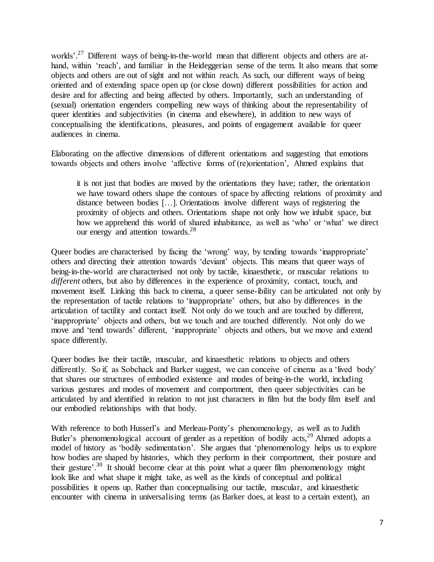worlds'.<sup>27</sup> Different ways of being-in-the-world mean that different objects and others are athand, within 'reach', and familiar in the Heideggerian sense of the term. It also means that some objects and others are out of sight and not within reach. As such, our different ways of being oriented and of extending space open up (or close down) different possibilities for action and desire and for affecting and being affected by others. Importantly, such an understanding of (sexual) orientation engenders compelling new ways of thinking about the representability of queer identities and subjectivities (in cinema and elsewhere), in addition to new ways of conceptualising the identifications, pleasures, and points of engagement available for queer audiences in cinema.

Elaborating on the affective dimensions of different orientations and suggesting that emotions towards objects and others involve 'affective forms of (re)orientation', Ahmed explains that

it is not just that bodies are moved by the orientations they have; rather, the orientation we have toward others shape the contours of space by affecting relations of proximity and distance between bodies […]. Orientations involve different ways of registering the proximity of objects and others. Orientations shape not only how we inhabit space, but how we apprehend this world of shared inhabitance, as well as 'who' or 'what' we direct our energy and attention towards.<sup>28</sup>

Queer bodies are characterised by facing the 'wrong' way, by tending towards 'inappropriate' others and directing their attention towards 'deviant' objects. This means that queer ways of being-in-the-world are characterised not only by tactile, kinaesthetic, or muscular relations to *different* others, but also by differences in the experience of proximity, contact, touch, and movement itself. Linking this back to cinema, a queer sense-ibility can be articulated not only by the representation of tactile relations to 'inappropriate' others, but also by differences in the articulation of tactility and contact itself. Not only do we touch and are touched by different, 'inappropriate' objects and others, but we touch and are touched differently. Not only do we move and 'tend towards' different, 'inappropriate' objects and others, but we move and extend space differently.

Queer bodies live their tactile, muscular, and kinaesthetic relations to objects and others differently. So if, as Sobchack and Barker suggest, we can conceive of cinema as a 'lived body' that shares our structures of embodied existence and modes of being-in-the world, including various gestures and modes of movement and comportment, then queer subjectivities can be articulated by and identified in relation to not just characters in film but the body film itself and our embodied relationships with that body.

With reference to both Husserl's and Merleau-Ponty's phenomenology, as well as to Judith Butler's phenomenological account of gender as a repetition of bodily acts,<sup>29</sup> Ahmed adopts a model of history as 'bodily sedimentation'. She argues that 'phenomenology helps us to explore how bodies are shaped by histories, which they perform in their comportment, their posture and their gesture'.<sup>30</sup> It should become clear at this point what a queer film phenomenology might look like and what shape it might take, as well as the kinds of conceptual and political possibilities it opens up. Rather than conceptualising our tactile, muscular, and kinaesthetic encounter with cinema in universalising terms (as Barker does, at least to a certain extent), an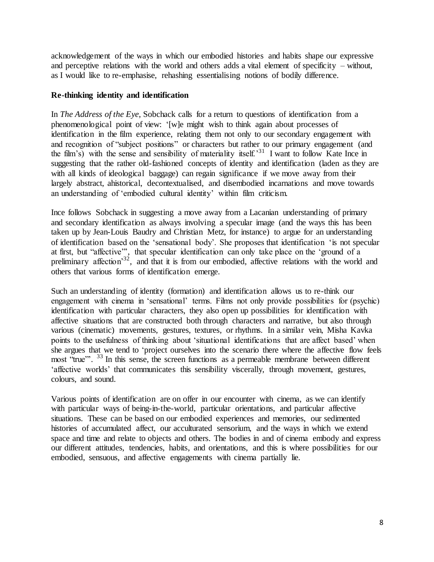acknowledgement of the ways in which our embodied histories and habits shape our expressive and perceptive relations with the world and others adds a vital element of specificity – without, as I would like to re-emphasise, rehashing essentialising notions of bodily difference.

## **Re-thinking identity and identification**

In *The Address of the Eye*, Sobchack calls for a return to questions of identification from a phenomenological point of view: '[w]e might wish to think again about processes of identification in the film experience, relating them not only to our secondary engagement with and recognition of "subject positions" or characters but rather to our primary engagement (and the film's) with the sense and sensibility of materiality itself.<sup>31</sup> I want to follow Kate Ince in suggesting that the rather old-fashioned concepts of identity and identification (laden as they are with all kinds of ideological baggage) can regain significance if we move away from their largely abstract, ahistorical, decontextualised, and disembodied incarnations and move towards an understanding of 'embodied cultural identity' within film criticism.

Ince follows Sobchack in suggesting a move away from a Lacanian understanding of primary and secondary identification as always involving a specular image (and the ways this has been taken up by Jean-Louis Baudry and Christian Metz, for instance) to argue for an understanding of identification based on the 'sensational body'. She proposes that identification 'is not specular at first, but "affective"', that specular identification can only take place on the 'ground of a preliminary affection<sup>32</sup>, and that it is from our embodied, affective relations with the world and others that various forms of identification emerge.

Such an understanding of identity (formation) and identification allows us to re-think our engagement with cinema in 'sensational' terms. Films not only provide possibilities for (psychic) identification with particular characters, they also open up possibilities for identification with affective situations that are constructed both through characters and narrative, but also through various (cinematic) movements, gestures, textures, or rhythms. In a similar vein, Misha Kavka points to the usefulness of thinking about 'situational identifications that are affect based' when she argues that we tend to 'project ourselves into the scenario there where the affective flow feels most "true"<sup>23</sup>. In this sense, the screen functions as a permeable membrane between different 'affective worlds' that communicates this sensibility viscerally, through movement, gestures, colours, and sound.

Various points of identification are on offer in our encounter with cinema, as we can identify with particular ways of being-in-the-world, particular orientations, and particular affective situations. These can be based on our embodied experiences and memories, our sedimented histories of accumulated affect, our acculturated sensorium, and the ways in which we extend space and time and relate to objects and others. The bodies in and of cinema embody and express our different attitudes, tendencies, habits, and orientations, and this is where possibilities for our embodied, sensuous, and affective engagements with cinema partially lie.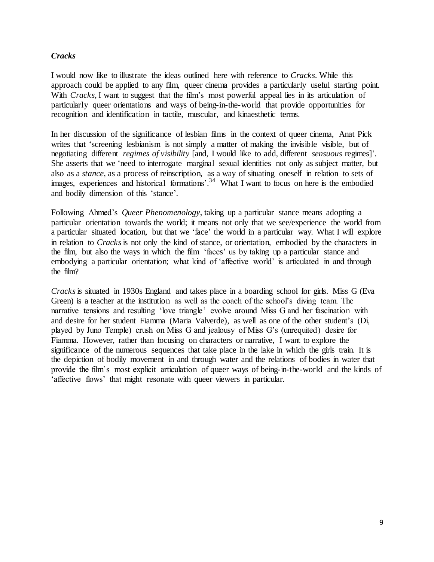#### *Cracks*

I would now like to illustrate the ideas outlined here with reference to *Cracks*. While this approach could be applied to any film, queer cinema provides a particularly useful starting point. With *Cracks*, I want to suggest that the film's most powerful appeal lies in its articulation of particularly queer orientations and ways of being-in-the-world that provide opportunities for recognition and identification in tactile, muscular, and kinaesthetic terms.

In her discussion of the significance of lesbian films in the context of queer cinema, Anat Pick writes that 'screening lesbianism is not simply a matter of making the invisible visible, but of negotiating different *regimes of visibility* [and, I would like to add, different *sensuous* regimes]'. She asserts that we 'need to interrogate marginal sexual identities not only as subject matter, but also as a *stance*, as a process of reinscription, as a way of situating oneself in relation to sets of images, experiences and historical formations'.<sup>34</sup> What I want to focus on here is the embodied and bodily dimension of this 'stance'.

Following Ahmed's *Queer Phenomenology*, taking up a particular stance means adopting a particular orientation towards the world; it means not only that we see/experience the world from a particular situated location, but that we 'face' the world in a particular way. What I will explore in relation to *Cracks*is not only the kind of stance, or orientation, embodied by the characters in the film, but also the ways in which the film 'faces' us by taking up a particular stance and embodying a particular orientation; what kind of 'affective world' is articulated in and through the film?

*Cracks*is situated in 1930s England and takes place in a boarding school for girls. Miss G (Eva Green) is a teacher at the institution as well as the coach of the school's diving team. The narrative tensions and resulting 'love triangle' evolve around Miss G and her fascination with and desire for her student Fiamma (Maria Valverde), as well as one of the other student's (Di, played by Juno Temple) crush on Miss G and jealousy of Miss G's (unrequited) desire for Fiamma. However, rather than focusing on characters or narrative, I want to explore the significance of the numerous sequences that take place in the lake in which the girls train. It is the depiction of bodily movement in and through water and the relations of bodies in water that provide the film's most explicit articulation of queer ways of being-in-the-world and the kinds of 'affective flows' that might resonate with queer viewers in particular.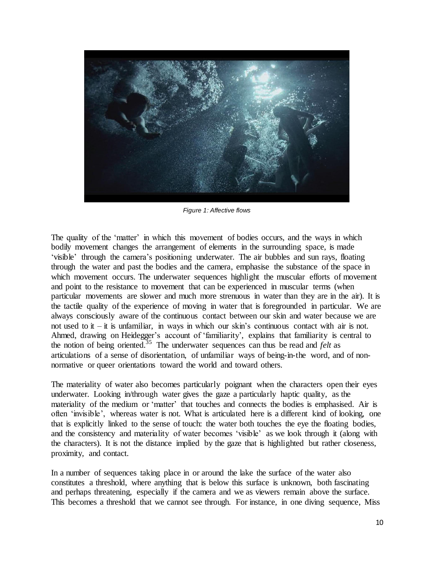

*Figure 1: Affective flows*

The quality of the 'matter' in which this movement of bodies occurs, and the ways in which bodily movement changes the arrangement of elements in the surrounding space, is made 'visible' through the camera's positioning underwater. The air bubbles and sun rays, floating through the water and past the bodies and the camera, emphasise the substance of the space in which movement occurs. The underwater sequences highlight the muscular efforts of movement and point to the resistance to movement that can be experienced in muscular terms (when particular movements are slower and much more strenuous in water than they are in the air). It is the tactile quality of the experience of moving in water that is foregrounded in particular. We are always consciously aware of the continuous contact between our skin and water because we are not used to it  $-$  it is unfamiliar, in ways in which our skin's continuous contact with air is not. Ahmed, drawing on Heidegger's account of 'familiarity', explains that familiarity is central to the notion of being oriented.<sup>35</sup> The underwater sequences can thus be read and *felt* as articulations of a sense of disorientation, of unfamiliar ways of being-in-the word, and of nonnormative or queer orientations toward the world and toward others.

The materiality of water also becomes particularly poignant when the characters open their eyes underwater. Looking in/through water gives the gaze a particularly haptic quality, as the materiality of the medium or 'matter' that touches and connects the bodies is emphasised. Air is often 'invisible', whereas water is not. What is articulated here is a different kind of looking, one that is explicitly linked to the sense of touch: the water both touches the eye the floating bodies, and the consistency and materiality of water becomes 'visible' as we look through it (along with the characters). It is not the distance implied by the gaze that is highlighted but rather closeness, proximity, and contact.

In a number of sequences taking place in or around the lake the surface of the water also constitutes a threshold, where anything that is below this surface is unknown, both fascinating and perhaps threatening, especially if the camera and we as viewers remain above the surface. This becomes a threshold that we cannot see through. For instance, in one diving sequence, Miss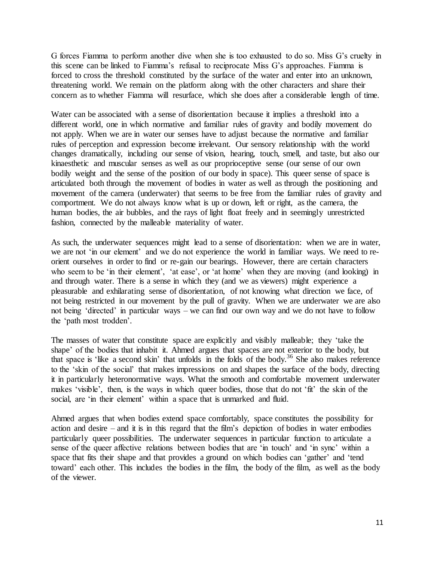G forces Fiamma to perform another dive when she is too exhausted to do so. Miss G's cruelty in this scene can be linked to Fiamma's refusal to reciprocate Miss G's approaches. Fiamma is forced to cross the threshold constituted by the surface of the water and enter into an unknown, threatening world. We remain on the platform along with the other characters and share their concern as to whether Fiamma will resurface, which she does after a considerable length of time.

Water can be associated with a sense of disorientation because it implies a threshold into a different world, one in which normative and familiar rules of gravity and bodily movement do not apply. When we are in water our senses have to adjust because the normative and familiar rules of perception and expression become irrelevant. Our sensory relationship with the world changes dramatically, including our sense of vision, hearing, touch, smell, and taste, but also our kinaesthetic and muscular senses as well as our proprioceptive sense (our sense of our own bodily weight and the sense of the position of our body in space). This queer sense of space is articulated both through the movement of bodies in water as well as through the positioning and movement of the camera (underwater) that seems to be free from the familiar rules of gravity and comportment. We do not always know what is up or down, left or right, as the camera, the human bodies, the air bubbles, and the rays of light float freely and in seemingly unrestricted fashion, connected by the malleable materiality of water.

As such, the underwater sequences might lead to a sense of disorientation: when we are in water, we are not 'in our element' and we do not experience the world in familiar ways. We need to reorient ourselves in order to find or re-gain our bearings. However, there are certain characters who seem to be 'in their element', 'at ease', or 'at home' when they are moving (and looking) in and through water. There is a sense in which they (and we as viewers) might experience a pleasurable and exhilarating sense of disorientation, of not knowing what direction we face, of not being restricted in our movement by the pull of gravity. When we are underwater we are also not being 'directed' in particular ways – we can find our own way and we do not have to follow the 'path most trodden'.

The masses of water that constitute space are explicitly and visibly malleable; they 'take the shape' of the bodies that inhabit it. Ahmed argues that spaces are not exterior to the body, but that space is 'like a second skin' that unfolds in the folds of the body.<sup>36</sup> She also makes reference to the 'skin of the social' that makes impressions on and shapes the surface of the body, directing it in particularly heteronormative ways. What the smooth and comfortable movement underwater makes 'visible', then, is the ways in which queer bodies, those that do not 'fit' the skin of the social, are 'in their element' within a space that is unmarked and fluid.

Ahmed argues that when bodies extend space comfortably, space constitutes the possibility for action and desire – and it is in this regard that the film's depiction of bodies in water embodies particularly queer possibilities. The underwater sequences in particular function to articulate a sense of the queer affective relations between bodies that are 'in touch' and 'in sync' within a space that fits their shape and that provides a ground on which bodies can 'gather' and 'tend toward' each other. This includes the bodies in the film, the body of the film, as well as the body of the viewer.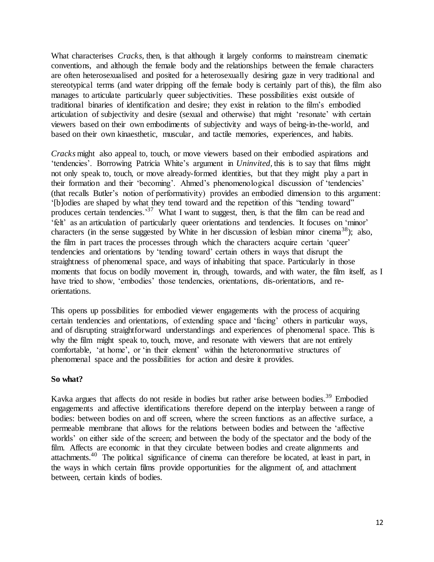What characterises *Cracks*, then, is that although it largely conforms to mainstream cinematic conventions, and although the female body and the relationships between the female characters are often heterosexualised and posited for a heterosexually desiring gaze in very traditional and stereotypical terms (and water dripping off the female body is certainly part of this), the film also manages to articulate particularly queer subjectivities. These possibilities exist outside of traditional binaries of identification and desire; they exist in relation to the film's embodied articulation of subjectivity and desire (sexual and otherwise) that might 'resonate' with certain viewers based on their own embodiments of subjectivity and ways of being-in-the-world, and based on their own kinaesthetic, muscular, and tactile memories, experiences, and habits.

*Cracks* might also appeal to, touch, or move viewers based on their embodied aspirations and 'tendencies'. Borrowing Patricia White's argument in *Uninvited,* this is to say that films might not only speak to, touch, or move already-formed identities, but that they might play a part in their formation and their 'becoming'. Ahmed's phenomenological discussion of 'tendencies' (that recalls Butler's notion of performativity) provides an embodied dimension to this argument: '[b]odies are shaped by what they tend toward and the repetition of this "tending toward" produces certain tendencies.<sup>37</sup> What I want to suggest, then, is that the film can be read and 'felt' as an articulation of particularly queer orientations and tendencies. It focuses on 'minor' characters (in the sense suggested by White in her discussion of lesbian minor cinema<sup>38</sup>); also, the film in part traces the processes through which the characters acquire certain 'queer' tendencies and orientations by 'tending toward' certain others in ways that disrupt the straightness of phenomenal space, and ways of inhabiting that space. Particularly in those moments that focus on bodily movement in, through, towards, and with water, the film itself, as I have tried to show, 'embodies' those tendencies, orientations, dis-orientations, and reorientations.

This opens up possibilities for embodied viewer engagements with the process of acquiring certain tendencies and orientations, of extending space and 'facing' others in particular ways, and of disrupting straightforward understandings and experiences of phenomenal space. This is why the film might speak to, touch, move, and resonate with viewers that are not entirely comfortable, 'at home', or 'in their element' within the heteronormative structures of phenomenal space and the possibilities for action and desire it provides.

#### **So what?**

Kavka argues that affects do not reside in bodies but rather arise between bodies.<sup>39</sup> Embodied engagements and affective identifications therefore depend on the interplay between a range of bodies: between bodies on and off screen, where the screen functions as an affective surface, a permeable membrane that allows for the relations between bodies and between the 'affective worlds' on either side of the screen; and between the body of the spectator and the body of the film. Affects are economic in that they circulate between bodies and create alignments and attachments.<sup>40</sup> The political significance of cinema can therefore be located, at least in part, in the ways in which certain films provide opportunities for the alignment of, and attachment between, certain kinds of bodies.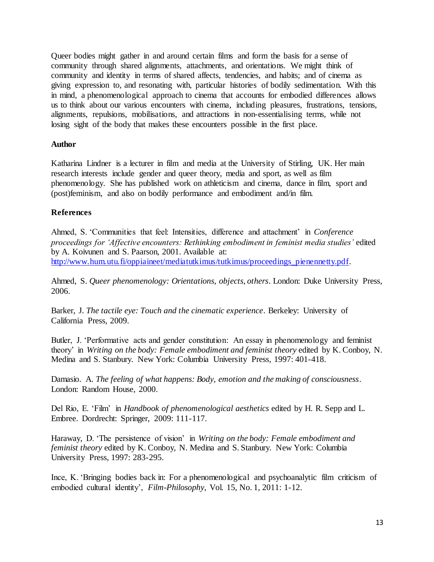Queer bodies might gather in and around certain films and form the basis for a sense of community through shared alignments, attachments, and orientations. We might think of community and identity in terms of shared affects, tendencies, and habits; and of cinema as giving expression to, and resonating with, particular histories of bodily sedimentation. With this in mind, a phenomenological approach to cinema that accounts for embodied differences allows us to think about our various encounters with cinema, including pleasures, frustrations, tensions, alignments, repulsions, mobilisations, and attractions in non-essentialising terms, while not losing sight of the body that makes these encounters possible in the first place.

#### **Author**

Katharina Lindner is a lecturer in film and media at the University of Stirling, UK. Her main research interests include gender and queer theory, media and sport, as well as film phenomenology. She has published work on athleticism and cinema, dance in film, sport and (post)feminism, and also on bodily performance and embodiment and/in film.

# **References**

Ahmed, S. 'Communities that feel: Intensities, difference and attachment' in *Conference proceedings for 'Affective encounters: Rethinking embodiment in feminist media studies'* edited by A. Koivunen and S. Paarson, 2001. Available at: [http://www.hum.utu.fi/oppiaineet/mediatutkimus/tutkimus/proceedings\\_pienennetty.pdf.](http://www.hum.utu.fi/oppiaineet/mediatutkimus/tutkimus/proceedings_pienennetty.pdf)

Ahmed, S. *Queer phenomenology: Orientations, objects, others*. London: Duke University Press, 2006.

Barker, J. *The tactile eye: Touch and the cinematic experience*. Berkeley: University of California Press, 2009.

Butler, J. 'Performative acts and gender constitution: An essay in phenomenology and feminist theory' in *Writing on the body: Female embodiment and feminist theory* edited by K. Conboy, N. Medina and S. Stanbury. New York: Columbia University Press, 1997: 401-418.

Damasio. A. *The feeling of what happens: Body, emotion and the making of consciousness*. London: Random House, 2000.

Del Rio, E. 'Film' in *Handbook of phenomenological aesthetics* edited by H. R. Sepp and L. Embree. Dordrecht: Springer, 2009: 111-117.

Haraway, D. 'The persistence of vision' in *Writing on the body: Female embodiment and feminist theory* edited by K. Conboy, N. Medina and S. Stanbury. New York: Columbia University Press, 1997: 283-295.

Ince, K. 'Bringing bodies back in: For a phenomenological and psychoanalytic film criticism of embodied cultural identity', *Film-Philosophy*, Vol. 15, No. 1, 2011: 1-12.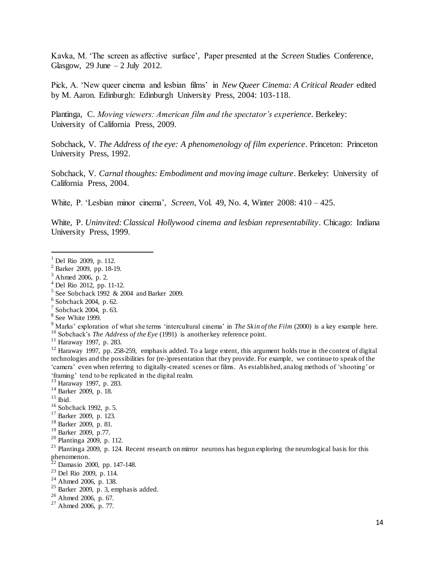Kavka, M. 'The screen as affective surface', Paper presented at the *Screen* Studies Conference, Glasgow, 29 June  $-2$  July 2012.

Pick, A. 'New queer cinema and lesbian films' in *New Queer Cinema: A Critical Reader* edited by M. Aaron. Edinburgh: Edinburgh University Press, 2004: 103-118.

Plantinga, C. *Moving viewers: American film and the spectator's experience*. Berkeley: University of California Press, 2009.

Sobchack, V. *The Address of the eye: A phenomenology of film experience*. Princeton: Princeton University Press, 1992.

Sobchack, V. *Carnal thoughts: Embodiment and moving image culture*. Berkeley: University of California Press, 2004.

White, P. 'Lesbian minor cinema', *Screen*, Vol. 49, No. 4, Winter 2008: 410 – 425.

White, P. *Uninvited: Classical Hollywood cinema and lesbian representability*. Chicago: Indiana University Press, 1999.

 $\overline{a}$ 

- <sup>7</sup> Sobchack 2004, p. 63.
- <sup>8</sup> See White 1999.

 $12$  Haraway 1997, pp. 258-259, emphasis added. To a large extent, this argument holds true in the context of digital technologies and the possibilities for (re-)presentation that they provide. For example, we continue to speak of the 'camera' even when referring to digitally-created scenes or films. As established, analog methods of 'shooting' or 'framing' tend to be replicated in the digital realm.

<sup>19</sup> Barker 2009, p.77.

 $1$  Del Rio 2009, p. 112.

<sup>2</sup> Barker 2009, pp. 18-19.

 $3$  Ahmed 2006, p. 2.

 $^{4}$  Del Rio 2012, pp. 11-12.

<sup>&</sup>lt;sup>5</sup> See Sobchack 1992 & 2004 and Barker 2009.

<sup>6</sup> Sobchack 2004, p. 62.

<sup>&</sup>lt;sup>9</sup> Marks' exploration of what she terms 'intercultural cinema' in *The Skin of the Film* (2000) is a key example here.

<sup>&</sup>lt;sup>10</sup> Sobchack's *The Address of the Eye* (1991) is another key reference point.

 $11$  Haraway 1997, p. 283.

<sup>13</sup> Haraway 1997, p. 283.

<sup>14</sup> Barker 2009, p. 18.

 $15$  Ibid.

<sup>16</sup> Sobchack 1992, p. 5.

<sup>17</sup> Barker 2009, p. 123.

<sup>18</sup> Barker 2009, p. 81.

<sup>20</sup> Plantinga 2009, p. 112.

 $^{21}$  Plantinga 2009, p. 124. Recent research on mirror neurons has begun exploring the neurological basis for this phenomenon.

 $22$  Damasio 2000, pp. 147-148.

 $^{23}$  Del Rio 2009, p. 114.

 $24$  Ahmed 2006, p. 138.

 $25$  Barker 2009, p. 3, emphasis added.

 $26$  Ahmed 2006, p. 67.

 $27$  Ahmed 2006, p. 77.